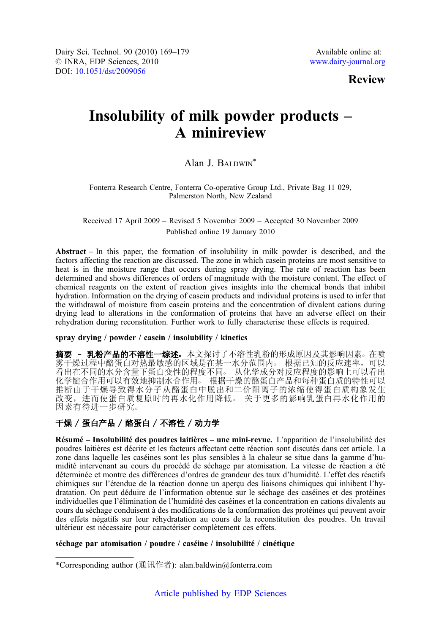## Review

# Insolubility of milk powder products – A minireview

## Alan J. BALDWIN\*

Fonterra Research Centre, Fonterra Co-operative Group Ltd., Private Bag 11 029, Palmerston North, New Zealand

Received 17 April 2009 – Revised 5 November 2009 – Accepted 30 November 2009 Published online 19 January 2010

Abstract – In this paper, the formation of insolubility in milk powder is described, and the factors affecting the reaction are discussed. The zone in which casein proteins are most sensitive to heat is in the moisture range that occurs during spray drying. The rate of reaction has been determined and shows differences of orders of magnitude with the moisture content. The effect of chemical reagents on the extent of reaction gives insights into the chemical bonds that inhibit hydration. Information on the drying of casein products and individual proteins is used to infer that the withdrawal of moisture from casein proteins and the concentration of divalent cations during drying lead to alterations in the conformation of proteins that have an adverse effect on their rehydration during reconstitution. Further work to fully characterise these effects is required.

#### spray drying / powder / casein / insolubility / kinetics

**摘要 - 乳粉产品的不溶性一综述。**本文探讨了不溶性乳粉的形成原因及其影响因素。在喷 雾干燥过程中酪蛋白对热最敏感的区域是在某一水分范围内。 根据已知的反应速率, 可以 看出在不同的水分含量下蛋白变性的程度不同。 从化学成分对反应程度的影响上可以看出 化学键合作用可以有效地抑制水合作用。根据干燥的酪蛋白产品和每种蛋白质的特性可以 推断由于干燥导致得水分子从酪蛋白中脱出和二价阳离子的浓缩使得蛋白质构象发生 改变,进而使蛋白质复原时的再水化作用降低。关于更多的影响乳蛋白再水化作用的 因素有待进一步研究。

## 干燥 / 蛋白产品 / 酪蛋白 / 不溶性 / 动力学

Résumé – Insolubilité des poudres laitières – une mini-revue. L'apparition de l'insolubilité des poudres laitières est décrite et les facteurs affectant cette réaction sont discutés dans cet article. La zone dans laquelle les caséines sont les plus sensibles à la chaleur se situe dans la gamme d'humidité intervenant au cours du procédé de séchage par atomisation. La vitesse de réaction a été déterminée et montre des différences d'ordres de grandeur des taux d'humidité. L'effet des réactifs chimiques sur l'étendue de la réaction donne un aperçu des liaisons chimiques qui inhibent l'hydratation. On peut déduire de l'information obtenue sur le séchage des caséines et des protéines individuelles que l'élimination de l'humidité des caséines et la concentration en cations divalents au cours du séchage conduisent à des modifications de la conformation des protéines qui peuvent avoir des effets négatifs sur leur réhydratation au cours de la reconstitution des poudres. Un travail ultérieur est nécessaire pour caractériser complètement ces effets.

#### séchage par atomisation / poudre / caséine / insolubilité / cinétique

<sup>\*</sup>Corresponding author (通讯作者): alan.baldwin@fonterra.com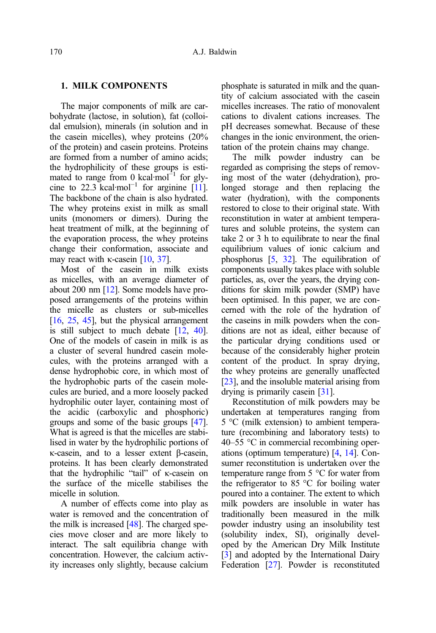#### 1. MILK COMPONENTS

The major components of milk are carbohydrate (lactose, in solution), fat (colloidal emulsion), minerals (in solution and in the casein micelles), whey proteins (20% of the protein) and casein proteins. Proteins are formed from a number of amino acids; the hydrophilicity of these groups is estimated to range from 0 kcal·mol<sup> $-1$ </sup> for glycine to 22.3 kcal·mol<sup>-1</sup> for arginine  $\overline{111}$ . The backbone of the chain is also hydrated. The whey proteins exist in milk as small units (monomers or dimers). During the heat treatment of milk, at the beginning of the evaporation process, the whey proteins change their conformation, associate and may react with  $\kappa$ -casein [\[10](#page-9-0), [37](#page-10-0)].

Most of the casein in milk exists as micelles, with an average diameter of about 200 nm [\[12](#page-9-0)]. Some models have proposed arrangements of the proteins within the micelle as clusters or sub-micelles  $[16, 25, 45]$  $[16, 25, 45]$  $[16, 25, 45]$  $[16, 25, 45]$  $[16, 25, 45]$  $[16, 25, 45]$ , but the physical arrangement is still subject to much debate [\[12](#page-9-0), [40\]](#page-10-0). One of the models of casein in milk is as a cluster of several hundred casein molecules, with the proteins arranged with a dense hydrophobic core, in which most of the hydrophobic parts of the casein molecules are buried, and a more loosely packed hydrophilic outer layer, containing most of the acidic (carboxylic and phosphoric) groups and some of the basic groups [\[47\]](#page-10-0). What is agreed is that the micelles are stabilised in water by the hydrophilic portions of κ-casein, and to a lesser extent β-casein, proteins. It has been clearly demonstrated that the hydrophilic "tail" of κ-casein on the surface of the micelle stabilises the micelle in solution.

A number of effects come into play as water is removed and the concentration of the milk is increased  $[48]$  $[48]$  $[48]$ . The charged species move closer and are more likely to interact. The salt equilibria change with concentration. However, the calcium activity increases only slightly, because calcium

phosphate is saturated in milk and the quantity of calcium associated with the casein micelles increases. The ratio of monovalent cations to divalent cations increases. The pH decreases somewhat. Because of these changes in the ionic environment, the orientation of the protein chains may change.

The milk powder industry can be regarded as comprising the steps of removing most of the water (dehydration), prolonged storage and then replacing the water (hydration), with the components restored to close to their original state. With reconstitution in water at ambient temperatures and soluble proteins, the system can take 2 or 3 h to equilibrate to near the final equilibrium values of ionic calcium and phosphorus [[5,](#page-8-0) [32](#page-9-0)]. The equilibration of components usually takes place with soluble particles, as, over the years, the drying conditions for skim milk powder (SMP) have been optimised. In this paper, we are concerned with the role of the hydration of the caseins in milk powders when the conditions are not as ideal, either because of the particular drying conditions used or because of the considerably higher protein content of the product. In spray drying, the whey proteins are generally unaffected [[23](#page-9-0)], and the insoluble material arising from drying is primarily casein [\[31](#page-9-0)].

Reconstitution of milk powders may be undertaken at temperatures ranging from 5 °C (milk extension) to ambient temperature (recombining and laboratory tests) to 40–55 °C in commercial recombining operations (optimum temperature) [\[4](#page-8-0), [14\]](#page-9-0). Consumer reconstitution is undertaken over the temperature range from 5 °C for water from the refrigerator to 85 °C for boiling water poured into a container. The extent to which milk powders are insoluble in water has traditionally been measured in the milk powder industry using an insolubility test (solubility index, SI), originally developed by the American Dry Milk Institute [[3](#page-8-0)] and adopted by the International Dairy Federation [\[27\]](#page-9-0). Powder is reconstituted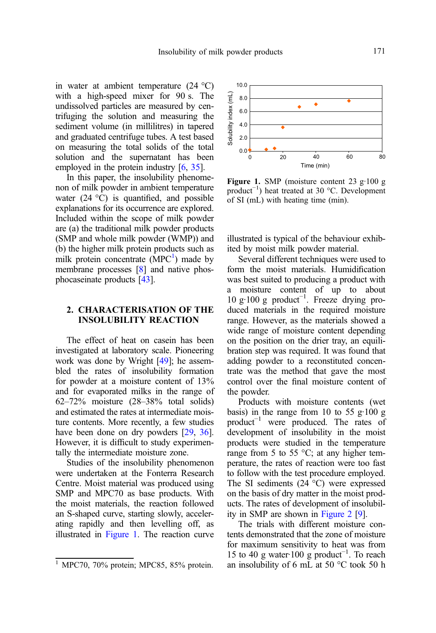in water at ambient temperature (24 °C) with a high-speed mixer for 90 s. The undissolved particles are measured by centrifuging the solution and measuring the sediment volume (in millilitres) in tapered and graduated centrifuge tubes. A test based on measuring the total solids of the total solution and the supernatant has been employed in the protein industry [[6](#page-8-0), [35\]](#page-10-0).

In this paper, the insolubility phenomenon of milk powder in ambient temperature water  $(24 \degree C)$  is quantified, and possible explanations for its occurrence are explored. Included within the scope of milk powder are (a) the traditional milk powder products (SMP and whole milk powder (WMP)) and (b) the higher milk protein products such as milk protein concentrate  $(MPC<sup>1</sup>)$  made by membrane processes [\[8\]](#page-8-0) and native phosphocaseinate products [[43](#page-10-0)].

#### 2. CHARACTERISATION OF THE INSOLUBILITY REACTION

The effect of heat on casein has been investigated at laboratory scale. Pioneering work was done by Wright [\[49\]](#page-10-0); he assembled the rates of insolubility formation for powder at a moisture content of 13% and for evaporated milks in the range of 62–72% moisture (28–38% total solids) and estimated the rates at intermediate moisture contents. More recently, a few studies have been done on dry powders [\[29,](#page-9-0) [36](#page-10-0)]. However, it is difficult to study experimentally the intermediate moisture zone.

Studies of the insolubility phenomenon were undertaken at the Fonterra Research Centre. Moist material was produced using SMP and MPC70 as base products. With the moist materials, the reaction followed an S-shaped curve, starting slowly, accelerating rapidly and then levelling off, as illustrated in Figure 1. The reaction curve



Figure 1. SMP (moisture content 23 g·100 g product−<sup>1</sup> ) heat treated at 30 °C. Development of SI (mL) with heating time (min).

illustrated is typical of the behaviour exhibited by moist milk powder material.

Several different techniques were used to form the moist materials. Humidification was best suited to producing a product with a moisture content of up to about 10 g·100 g product−<sup>1</sup> . Freeze drying produced materials in the required moisture range. However, as the materials showed a wide range of moisture content depending on the position on the drier tray, an equilibration step was required. It was found that adding powder to a reconstituted concentrate was the method that gave the most control over the final moisture content of the powder.

Products with moisture contents (wet basis) in the range from 10 to 55 g $\cdot$ 100 g product−<sup>1</sup> were produced. The rates of development of insolubility in the moist products were studied in the temperature range from 5 to 55  $^{\circ}$ C; at any higher temperature, the rates of reaction were too fast to follow with the test procedure employed. The SI sediments (24 °C) were expressed on the basis of dry matter in the moist products. The rates of development of insolubility in SMP are shown in [Figure 2](#page-3-0) [\[9](#page-9-0)].

The trials with different moisture contents demonstrated that the zone of moisture for maximum sensitivity to heat was from 15 to 40 g water·100 g product−<sup>1</sup> . To reach <sup>1</sup> MPC70, 70% protein; MPC85, 85% protein. an insolubility of 6 mL at 50 °C took 50 h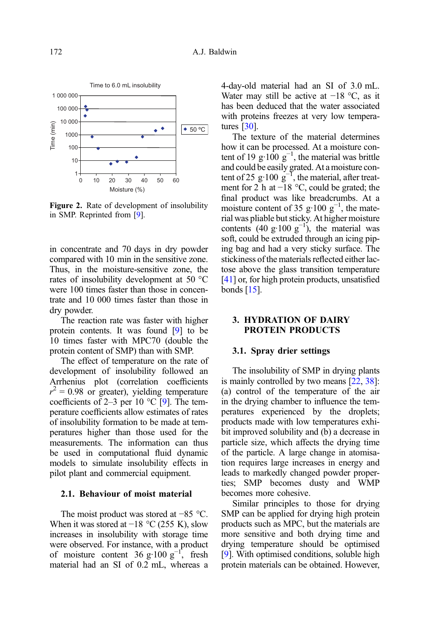<span id="page-3-0"></span>

Figure 2. Rate of development of insolubility in SMP. Reprinted from [\[9\]](#page-9-0).

in concentrate and 70 days in dry powder compared with 10 min in the sensitive zone. Thus, in the moisture-sensitive zone, the rates of insolubility development at 50 °C were 100 times faster than those in concentrate and 10 000 times faster than those in dry powder.

The reaction rate was faster with higher protein contents. It was found [\[9\]](#page-9-0) to be 10 times faster with MPC70 (double the protein content of SMP) than with SMP.

The effect of temperature on the rate of development of insolubility followed an Arrhenius plot (correlation coefficients  $r^2 = 0.98$  or greater), yielding temperature coefficients of 2–3 per 10  $^{\circ}$ C [\[9](#page-9-0)]. The temperature coefficients allow estimates of rates of insolubility formation to be made at temperatures higher than those used for the measurements. The information can thus be used in computational fluid dynamic models to simulate insolubility effects in pilot plant and commercial equipment.

#### 2.1. Behaviour of moist material

The moist product was stored at −85 °C. When it was stored at  $-18$  °C (255 K), slow increases in insolubility with storage time were observed. For instance, with a product of moisture content 36 g·100  $g^{-1}$ , fresh material had an SI of 0.2 mL, whereas a 4-day-old material had an SI of 3.0 mL. Water may still be active at  $-18$  °C, as it has been deduced that the water associated with proteins freezes at very low temperatures [\[30](#page-9-0)].

The texture of the material determines how it can be processed. At a moisture content of 19  $g \cdot 100 g^{-1}$ , the material was brittle and could be easily grated. At a moisture content of 25  $g \cdot 100 \frac{g}{1}$ , the material, after treatment for 2 h at −18 °C, could be grated; the final product was like breadcrumbs. At a moisture content of 35  $g \cdot 100 g^{-1}$ , the material was pliable but sticky. At higher moisture contents  $(40 \text{ g} \cdot 100 \text{ g}^{-1})$ , the material was soft, could be extruded through an icing piping bag and had a very sticky surface. The stickiness of the materials reflected either lactose above the glass transition temperature [[41](#page-10-0)] or, for high protein products, unsatisfied bonds [\[15\]](#page-9-0).

#### 3. HYDRATION OF DAIRY PROTEIN PRODUCTS

#### 3.1. Spray drier settings

The insolubility of SMP in drying plants is mainly controlled by two means [\[22](#page-9-0), [38\]](#page-10-0): (a) control of the temperature of the air in the drying chamber to influence the temperatures experienced by the droplets; products made with low temperatures exhibit improved solubility and (b) a decrease in particle size, which affects the drying time of the particle. A large change in atomisation requires large increases in energy and leads to markedly changed powder properties; SMP becomes dusty and WMP becomes more cohesive.

Similar principles to those for drying SMP can be applied for drying high protein products such as MPC, but the materials are more sensitive and both drying time and drying temperature should be optimised [[9](#page-9-0)]. With optimised conditions, soluble high protein materials can be obtained. However,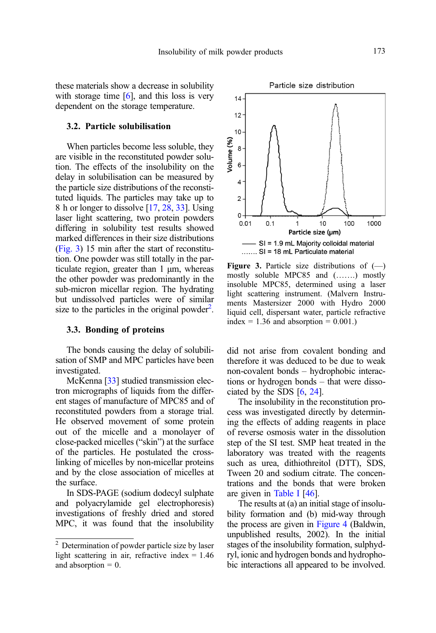these materials show a decrease in solubility with storage time  $[6]$ , and this loss is very dependent on the storage temperature.

#### 3.2. Particle solubilisation

When particles become less soluble, they are visible in the reconstituted powder solution. The effects of the insolubility on the delay in solubilisation can be measured by the particle size distributions of the reconstituted liquids. The particles may take up to 8 h or longer to dissolve [[17](#page-9-0), [28,](#page-9-0) [33](#page-9-0)]. Using laser light scattering, two protein powders differing in solubility test results showed marked differences in their size distributions (Fig. 3) 15 min after the start of reconstitution. One powder was still totally in the particulate region, greater than 1 μm, whereas the other powder was predominantly in the sub-micron micellar region. The hydrating but undissolved particles were of similar size to the particles in the original powder<sup>2</sup>.

#### 3.3. Bonding of proteins

The bonds causing the delay of solubilisation of SMP and MPC particles have been investigated.

McKenna [\[33\]](#page-9-0) studied transmission electron micrographs of liquids from the different stages of manufacture of MPC85 and of reconstituted powders from a storage trial. He observed movement of some protein out of the micelle and a monolayer of close-packed micelles ("skin") at the surface of the particles. He postulated the crosslinking of micelles by non-micellar proteins and by the close association of micelles at the surface.

In SDS-PAGE (sodium dodecyl sulphate and polyacrylamide gel electrophoresis) investigations of freshly dried and stored MPC, it was found that the insolubility



**Figure 3.** Particle size distributions of  $(-)$ mostly soluble MPC85 and (…….) mostly insoluble MPC85, determined using a laser light scattering instrument. (Malvern Instruments Mastersizer 2000 with Hydro 2000 liquid cell, dispersant water, particle refractive index =  $1.36$  and absorption =  $0.001$ .)

did not arise from covalent bonding and therefore it was deduced to be due to weak non-covalent bonds – hydrophobic interactions or hydrogen bonds – that were dissociated by the SDS [\[6,](#page-8-0) [24](#page-9-0)].

The insolubility in the reconstitution process was investigated directly by determining the effects of adding reagents in place of reverse osmosis water in the dissolution step of the SI test. SMP heat treated in the laboratory was treated with the reagents such as urea, dithiothreitol (DTT), SDS, Tween 20 and sodium citrate. The concentrations and the bonds that were broken are given in [Table I](#page-5-0) [\[46\]](#page-10-0).

The results at (a) an initial stage of insolubility formation and (b) mid-way through the process are given in [Figure 4](#page-6-0) (Baldwin, unpublished results, 2002). In the initial stages of the insolubility formation, sulphydryl, ionic and hydrogen bonds and hydrophobic interactions all appeared to be involved.

 $\frac{2}{2}$  Determination of powder particle size by laser light scattering in air, refractive index  $= 1.46$ and absorption  $= 0$ .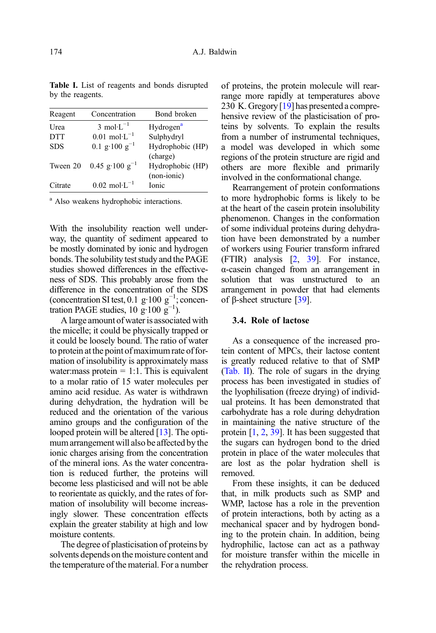| Reagent    | Concentration                   | Bond broken           |  |
|------------|---------------------------------|-----------------------|--|
| Urea       | 3 mol $\cdot L^{-1}$            | Hydrogen <sup>a</sup> |  |
| <b>DTT</b> | $0.01 \text{ mol} \cdot L^{-1}$ | Sulphydryl            |  |
| <b>SDS</b> | 0.1 g·100 g <sup>-1</sup>       | Hydrophobic (HP)      |  |
|            |                                 | (charge)              |  |
| Tween 20   | $0.45$ g·100 g <sup>-1</sup>    | Hydrophobic (HP)      |  |
|            |                                 | (non-ionic)           |  |
| Citrate    | $0.02$ mol·L <sup>-1</sup>      | Ionic                 |  |

<span id="page-5-0"></span>Table I. List of reagents and bonds disrupted by the reagents.

<sup>a</sup> Also weakens hydrophobic interactions.

With the insolubility reaction well underway, the quantity of sediment appeared to be mostly dominated by ionic and hydrogen bonds. The solubility test study and the PAGE studies showed differences in the effectiveness of SDS. This probably arose from the difference in the concentration of the SDS (concentration SI test, 0.1  $g \cdot 100 \ g^{-1}$ ; concentration PAGE studies, 10  $\text{g} \cdot 100 \text{ g}^{-1}$ ).

A large amount of water is associated with the micelle; it could be physically trapped or it could be loosely bound. The ratio of water to protein at the point of maximum rate of formation of insolubility is approximately mass water: mass protein  $= 1:1$ . This is equivalent to a molar ratio of 15 water molecules per amino acid residue. As water is withdrawn during dehydration, the hydration will be reduced and the orientation of the various amino groups and the configuration of the looped protein will be altered [[13](#page-9-0)]. The optimum arrangement will also be affected by the ionic charges arising from the concentration of the mineral ions. As the water concentration is reduced further, the proteins will become less plasticised and will not be able to reorientate as quickly, and the rates of formation of insolubility will become increasingly slower. These concentration effects explain the greater stability at high and low moisture contents.

The degree of plasticisation of proteins by solvents depends on the moisture content and the temperature of the material. For a number of proteins, the protein molecule will rearrange more rapidly at temperatures above 230 K. Gregory [\[19\]](#page-9-0) has presented a comprehensive review of the plasticisation of proteins by solvents. To explain the results from a number of instrumental techniques, a model was developed in which some regions of the protein structure are rigid and others are more flexible and primarily involved in the conformational change.

Rearrangement of protein conformations to more hydrophobic forms is likely to be at the heart of the casein protein insolubility phenomenon. Changes in the conformation of some individual proteins during dehydration have been demonstrated by a number of workers using Fourier transform infrared (FTIR) analysis [\[2](#page-8-0), [39](#page-10-0)]. For instance, α-casein changed from an arrangement in solution that was unstructured to an arrangement in powder that had elements of β-sheet structure [\[39](#page-10-0)].

#### 3.4. Role of lactose

As a consequence of the increased protein content of MPCs, their lactose content is greatly reduced relative to that of SMP ([Tab. II\)](#page-6-0). The role of sugars in the drying process has been investigated in studies of the lyophilisation (freeze drying) of individual proteins. It has been demonstrated that carbohydrate has a role during dehydration in maintaining the native structure of the protein [\[1](#page-8-0), [2](#page-8-0), [39\]](#page-10-0). It has been suggested that the sugars can hydrogen bond to the dried protein in place of the water molecules that are lost as the polar hydration shell is removed.

From these insights, it can be deduced that, in milk products such as SMP and WMP, lactose has a role in the prevention of protein interactions, both by acting as a mechanical spacer and by hydrogen bonding to the protein chain. In addition, being hydrophilic, lactose can act as a pathway for moisture transfer within the micelle in the rehydration process.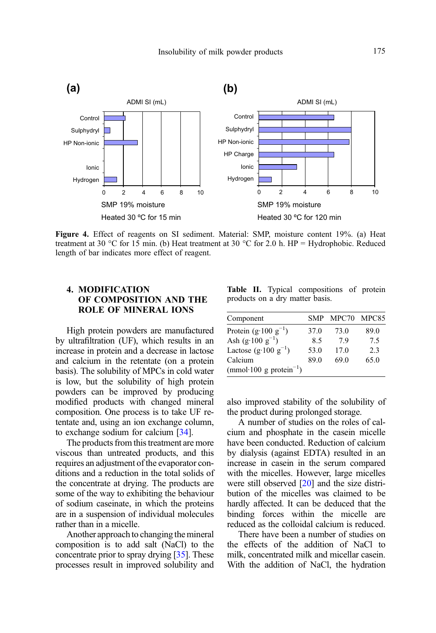<span id="page-6-0"></span>

Figure 4. Effect of reagents on SI sediment. Material: SMP, moisture content 19%. (a) Heat treatment at 30 °C for 15 min. (b) Heat treatment at 30 °C for 2.0 h. HP = Hydrophobic. Reduced length of bar indicates more effect of reagent.

#### 4. MODIFICATION OF COMPOSITION AND THE ROLE OF MINERAL IONS

High protein powders are manufactured by ultrafiltration (UF), which results in an increase in protein and a decrease in lactose and calcium in the retentate (on a protein basis). The solubility of MPCs in cold water is low, but the solubility of high protein powders can be improved by producing modified products with changed mineral composition. One process is to take UF retentate and, using an ion exchange column, to exchange sodium for calcium [[34](#page-10-0)].

The products from this treatment are more viscous than untreated products, and this requires an adjustment of the evaporator conditions and a reduction in the total solids of the concentrate at drying. The products are some of the way to exhibiting the behaviour of sodium caseinate, in which the proteins are in a suspension of individual molecules rather than in a micelle.

Another approach to changing the mineral composition is to add salt (NaCl) to the concentrate prior to spray drying [\[35\]](#page-10-0). These processes result in improved solubility and

Table II. Typical compositions of protein products on a dry matter basis.

| Component                           |      | SMP MPC70 MPC85 |      |
|-------------------------------------|------|-----------------|------|
| Protein $(g \cdot 100 g^{-1})$      | 37.0 | 73.0            | 89.0 |
| Ash $(g \cdot 100 g^{-1})$          | 8.5  | 79              | 7.5  |
| Lactose $(g \cdot 100 g^{-1})$      | 53.0 | 17.0            | 2.3  |
| Calcium                             | 89.0 | 69.0            | 65.0 |
| (mmol·100 g protein <sup>-1</sup> ) |      |                 |      |

also improved stability of the solubility of the product during prolonged storage.

A number of studies on the roles of calcium and phosphate in the casein micelle have been conducted. Reduction of calcium by dialysis (against EDTA) resulted in an increase in casein in the serum compared with the micelles. However, large micelles were still observed [\[20](#page-9-0)] and the size distribution of the micelles was claimed to be hardly affected. It can be deduced that the binding forces within the micelle are reduced as the colloidal calcium is reduced.

There have been a number of studies on the effects of the addition of NaCl to milk, concentrated milk and micellar casein. With the addition of NaCl, the hydration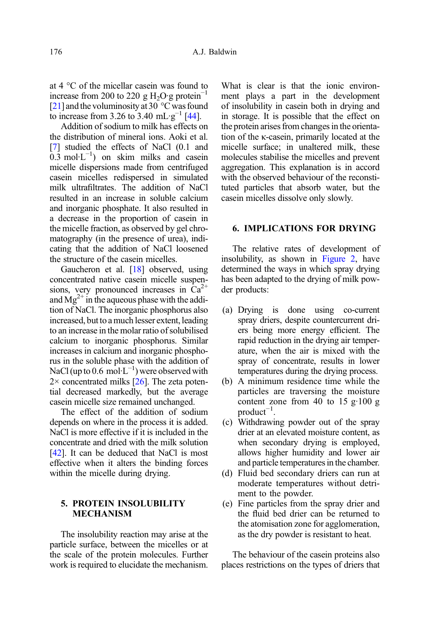at 4 °C of the micellar casein was found to increase from 200 to 220 g H<sub>2</sub>O·g protein<sup>-1</sup> [\[21](#page-9-0)] and the voluminosity at 30  $\degree$ C was found to increase from 3.26 to 3.40 mL·g<sup>-1</sup> [\[44\]](#page-10-0).

Addition of sodium to milk has effects on the distribution of mineral ions. Aoki et al. [\[7](#page-8-0)] studied the effects of NaCl (0.1 and  $0.3 \text{ mol} \cdot \text{L}^{-1}$ ) on skim milks and casein micelle dispersions made from centrifuged casein micelles redispersed in simulated milk ultrafiltrates. The addition of NaCl resulted in an increase in soluble calcium and inorganic phosphate. It also resulted in a decrease in the proportion of casein in the micelle fraction, as observed by gel chromatography (in the presence of urea), indicating that the addition of NaCl loosened the structure of the casein micelles.

Gaucheron et al. [\[18\]](#page-9-0) observed, using concentrated native casein micelle suspensions, very pronounced increases in  $Ca^{2+}$ and  $Mg^{2+}$  in the aqueous phase with the addition of NaCl. The inorganic phosphorus also increased, but to a much lesser extent, leading to an increase in the molar ratio of solubilised calcium to inorganic phosphorus. Similar increases in calcium and inorganic phosphorus in the soluble phase with the addition of NaCl (up to 0.6 mol⋅L<sup>-1</sup>) were observed with  $2 \times$  concentrated milks [\[26\]](#page-9-0). The zeta potential decreased markedly, but the average casein micelle size remained unchanged.

The effect of the addition of sodium depends on where in the process it is added. NaCl is more effective if it is included in the concentrate and dried with the milk solution [\[42](#page-10-0)]. It can be deduced that NaCl is most effective when it alters the binding forces within the micelle during drying.

#### 5. PROTEIN INSOLUBILITY **MECHANISM**

The insolubility reaction may arise at the particle surface, between the micelles or at the scale of the protein molecules. Further work is required to elucidate the mechanism. What is clear is that the ionic environment plays a part in the development of insolubility in casein both in drying and in storage. It is possible that the effect on the protein arises from changes in the orientation of the κ-casein, primarily located at the micelle surface; in unaltered milk, these molecules stabilise the micelles and prevent aggregation. This explanation is in accord with the observed behaviour of the reconstituted particles that absorb water, but the casein micelles dissolve only slowly.

#### 6. IMPLICATIONS FOR DRYING

The relative rates of development of insolubility, as shown in [Figure 2](#page-3-0), have determined the ways in which spray drying has been adapted to the drying of milk powder products:

- (a) Drying is done using co-current spray driers, despite countercurrent driers being more energy efficient. The rapid reduction in the drying air temperature, when the air is mixed with the spray of concentrate, results in lower temperatures during the drying process.
- (b) A minimum residence time while the particles are traversing the moisture content zone from 40 to 15  $g$ ·100 g product−<sup>1</sup> .
- (c) Withdrawing powder out of the spray drier at an elevated moisture content, as when secondary drying is employed, allows higher humidity and lower air and particle temperatures in the chamber.
- (d) Fluid bed secondary driers can run at moderate temperatures without detriment to the powder.
- (e) Fine particles from the spray drier and the fluid bed drier can be returned to the atomisation zone for agglomeration, as the dry powder is resistant to heat.

The behaviour of the casein proteins also places restrictions on the types of driers that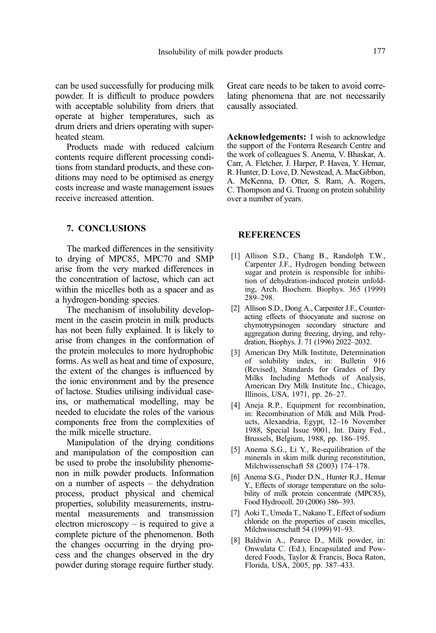<span id="page-8-0"></span>can be used successfully for producing milk powder. It is difficult to produce powders with acceptable solubility from driers that operate at higher temperatures, such as drum driers and driers operating with superheated steam.

Products made with reduced calcium contents require different processing conditions from standard products, and these conditions may need to be optimised as energy costs increase and waste management issues receive increased attention.

#### 7. CONCLUSIONS

The marked differences in the sensitivity to drying of MPC85, MPC70 and SMP arise from the very marked differences in the concentration of lactose, which can act within the micelles both as a spacer and as a hydrogen-bonding species.

The mechanism of insolubility development in the casein protein in milk products has not been fully explained. It is likely to arise from changes in the conformation of the protein molecules to more hydrophobic forms. As well as heat and time of exposure, the extent of the changes is influenced by the ionic environment and by the presence of lactose. Studies utilising individual caseins, or mathematical modelling, may be needed to elucidate the roles of the various components free from the complexities of the milk micelle structure.

Manipulation of the drying conditions and manipulation of the composition can be used to probe the insolubility phenomenon in milk powder products. Information on a number of aspects – the dehydration process, product physical and chemical properties, solubility measurements, instrumental measurements and transmission electron microscopy – is required to give a complete picture of the phenomenon. Both the changes occurring in the drying process and the changes observed in the dry powder during storage require further study. Great care needs to be taken to avoid correlating phenomena that are not necessarily causally associated.

Acknowledgements: I wish to acknowledge the support of the Fonterra Research Centre and the work of colleagues S. Anema, V. Bhaskar, A. Carr, A. Fletcher, J. Harper, P. Havea, Y. Hemar, R. Hunter, D. Love, D. Newstead, A. MacGibbon, A. McKenna, D. Otter, S. Ram, A. Rogers, C. Thompson and G. Truong on protein solubility over a number of years.

#### **REFERENCES**

- [1] Allison S.D., Chang B., Randolph T.W., Carpenter J.F., Hydrogen bonding between sugar and protein is responsible for inhibition of dehydration-induced protein unfolding, Arch. Biochem. Biophys. 365 (1999) 289–298.
- [2] Allison S.D., Dong A., Carpenter J.F., Counteracting effects of thiocyanate and sucrose on chymotrypsinogen secondary structure and aggregation during freezing, drying, and rehydration, Biophys. J. 71 (1996) 2022–2032.
- [3] American Dry Milk Institute, Determination of solubility index, in: Bulletin 916 (Revised), Standards for Grades of Dry Milks Including Methods of Analysis, American Dry Milk Institute Inc., Chicago, Illinois, USA, 1971, pp. 26–27.
- [4] Aneja R.P., Equipment for recombination, in: Recombination of Milk and Milk Products, Alexandria, Egypt, 12–16 November 1988, Special Issue 9001, Int. Dairy Fed., Brussels, Belgium, 1988, pp. 186–195.
- [5] Anema S.G., Li Y., Re-equilibration of the minerals in skim milk during reconstitution, Milchwissenschaft 58 (2003) 174–178.
- [6] Anema S.G., Pinder D.N., Hunter R.J., Hemar Y., Effects of storage temperature on the solubility of milk protein concentrate (MPC85), Food Hydrocoll. 20 (2006) 386–393.
- [7] Aoki T., Umeda T., Nakano T., Effect of sodium chloride on the properties of casein micelles, Milchwissenschaft 54 (1999) 91–93.
- [8] Baldwin A., Pearce D., Milk powder, in: Onwulata C. (Ed.), Encapsulated and Powdered Foods, Taylor & Francis, Boca Raton, Florida, USA, 2005, pp. 387–433.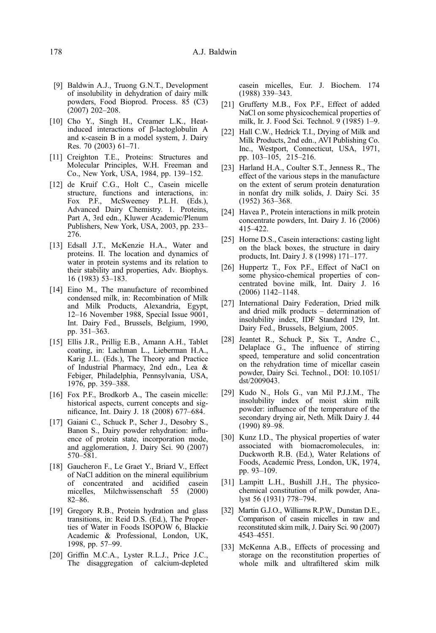- <span id="page-9-0"></span>[9] Baldwin A.J., Truong G.N.T., Development of insolubility in dehydration of dairy milk powders, Food Bioprod. Process. 85 (C3) (2007) 202–208.
- [10] Cho Y., Singh H., Creamer L.K., Heatinduced interactions of β-lactoglobulin A and κ-casein B in a model system, J. Dairy Res. 70 (2003) 61–71.
- [11] Creighton T.E., Proteins: Structures and Molecular Principles, W.H. Freeman and Co., New York, USA, 1984, pp. 139–152.
- [12] de Kruif C.G., Holt C., Casein micelle structure, functions and interactions, in: Fox P.F., McSweeney P.L.H. (Eds.), Advanced Dairy Chemistry. 1. Proteins, Part A, 3rd edn., Kluwer Academic/Plenum Publishers, New York, USA, 2003, pp. 233– 276.
- [13] Edsall J.T., McKenzie H.A., Water and proteins. II. The location and dynamics of water in protein systems and its relation to their stability and properties, Adv. Biophys. 16 (1983) 53–183.
- [14] Eino M., The manufacture of recombined condensed milk, in: Recombination of Milk and Milk Products, Alexandria, Egypt, 12–16 November 1988, Special Issue 9001, Int. Dairy Fed., Brussels, Belgium, 1990, pp. 351–363.
- [15] Ellis J.R., Prillig E.B., Amann A.H., Tablet coating, in: Lachman L., Lieberman H.A., Karig J.L. (Eds.), The Theory and Practice of Industrial Pharmacy, 2nd edn., Lea & Febiger, Philadelphia, Pennsylvania, USA, 1976, pp. 359–388.
- [16] Fox P.F., Brodkorb A., The casein micelle: historical aspects, current concepts and significance, Int. Dairy J. 18 (2008) 677–684.
- [17] Gaiani C., Schuck P., Scher J., Desobry S., Banon S., Dairy powder rehydration: influence of protein state, incorporation mode, and agglomeration, J. Dairy Sci. 90 (2007) 570–581.
- [18] Gaucheron F., Le Graet Y., Briard V., Effect of NaCl addition on the mineral equilibrium of concentrated and acidified casein micelles, Milchwissenschaft 55 (2000) 82–86.
- [19] Gregory R.B., Protein hydration and glass transitions, in: Reid D.S. (Ed.), The Properties of Water in Foods ISOPOW 6, Blackie Academic & Professional, London, UK, 1998, pp. 57–99.
- [20] Griffin M.C.A., Lyster R.L.J., Price J.C., The disaggregation of calcium-depleted

casein micelles, Eur. J. Biochem. 174 (1988) 339–343.

- [21] Grufferty M.B., Fox P.F., Effect of added NaCl on some physicochemical properties of milk, Ir. J. Food Sci. Technol. 9 (1985) 1–9.
- [22] Hall C.W., Hedrick T.I., Drying of Milk and Milk Products, 2nd edn., AVI Publishing Co. Inc., Westport, Connecticut, USA, 1971, pp. 103–105, 215–216.
- [23] Harland H.A., Coulter S.T., Jenness R., The effect of the various steps in the manufacture on the extent of serum protein denaturation in nonfat dry milk solids, J. Dairy Sci. 35 (1952) 363–368.
- [24] Havea P., Protein interactions in milk protein concentrate powders, Int. Dairy J. 16 (2006) 415–422.
- [25] Horne D.S., Casein interactions: casting light on the black boxes, the structure in dairy products, Int. Dairy J. 8 (1998) 171–177.
- [26] Huppertz T., Fox P.F., Effect of NaCl on some physico-chemical properties of concentrated bovine milk, Int. Dairy J. 16 (2006) 1142–1148.
- [27] International Dairy Federation, Dried milk and dried milk products – determination of insolubility index, IDF Standard 129, Int. Dairy Fed., Brussels, Belgium, 2005.
- [28] Jeantet R., Schuck P., Six T., Andre C., Delaplace G., The influence of stirring speed, temperature and solid concentration on the rehydration time of micellar casein powder, Dairy Sci. Technol., DOI: 10.1051/ dst/2009043.
- [29] Kudo N., Hols G., van Mil P.J.J.M., The insolubility index of moist skim milk powder: influence of the temperature of the secondary drying air, Neth. Milk Dairy J. 44 (1990) 89–98.
- [30] Kunz I.D., The physical properties of water associated with biomacromolecules, in: Duckworth R.B. (Ed.), Water Relations of Foods, Academic Press, London, UK, 1974, pp. 93–109.
- [31] Lampitt L.H., Bushill J.H., The physicochemical constitution of milk powder, Analyst 56 (1931) 778–794.
- [32] Martin G.J.O., Williams R.P.W., Dunstan D.E., Comparison of casein micelles in raw and reconstituted skim milk, J. Dairy Sci. 90 (2007) 4543–4551.
- [33] McKenna A.B., Effects of processing and storage on the reconstitution properties of whole milk and ultrafiltered skim milk